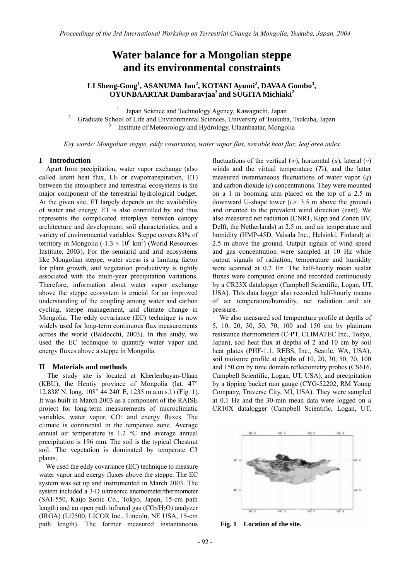# **Water balance for a Mongolian steppe and its environmental constraints**

# LI Sheng-Gong<sup>1</sup>, ASANUMA Jun<sup>2</sup>, KOTANI Ayumi<sup>2</sup>, DAVAA Gombo<sup>3</sup>, **OYUNBAARTAR Dambaravjaa3 and SUGITA Michiaki2**

<sup>1</sup> Japan Science and Technology Agency, Kawaguchi, Japan  $\frac{2}{5}$  Croducto School of Life and Environmental Sciences. University of Tayluke

 Graduate School of Life and Environmental Sciences, University of Tsukuba, Tsukuba, Japan 3 Institute of Meteorology and Hydrology, Ulaanbaatar, Mongolia

*Key words: Mongolian steppe, eddy covariance, water vapor flux, sensible heat flux, leaf area index* 

#### **I Introduction**

Apart from precipitation, water vapor exchange (also called latent heat flux, LE or evapotranspiration, ET) between the atmosphere and terrestrial ecosystems is the major component of the terrestrial hydrological budget. At the given site, ET largely depends on the availability of water and energy. ET is also controlled by and thus represents the complicated interplays between canopy architecture and development, soil characteristics, and a variety of environmental variables. Steppe covers 83% of territory in Mongolia ( $-1.3 \times 10^6$  km<sup>2</sup>) (World Resources Institute, 2003). For the semiarid and arid ecosystems like Mongolian steppe, water stress is a limiting factor for plant growth, and vegetation productivity is tightly associated with the multi-year precipitation variations. Therefore, information about water vapor exchange above the steppe ecosystem is crucial for an improved understanding of the coupling among water and carbon cycling, steppe management, and climate change in Mongolia. The eddy covariance (EC) technique is now widely used for long-term continuous flux measurements across the world (Baldocchi, 2003). In this study, we used the EC technique to quantify water vapor and energy fluxes above a steppe in Mongolia.

1

# **II Materials and methods**

The study site is located at Kherlenbayan-Ulaan (KBU), the Hentiy province of Mongolia (lat. 47° 12.838' N, long. 108° 44.240' E, 1235 m a.m.s.l.) (Fig. 1). It was built in March 2003 as a component of the RAISE project for long-term measurements of microclimatic variables, water vapor, CO<sub>2</sub> and energy fluxes. The climate is continental in the temperate zone. Average annual air temperature is 1.2 °C and average annual precipitation is 196 mm. The soil is the typical Chestnut soil. The vegetation is dominated by temperate C3 plants.

We used the eddy covariance (EC) technique to measure water vapor and energy fluxes above the steppe. The EC system was set up and instrumented in March 2003. The system included a 3-D ultrasonic anemometer/thermometer (SAT-550, Kaijo Sonic Co., Tokyo, Japan, 15-cm path length) and an open path infrared gas  $(CO<sub>2</sub>/H<sub>2</sub>O)$  analyzer (IRGA) (Li7500, LICOR Inc., Lincoln, NE USA, 15-cm path length). The former measured instantaneous

fluctuations of the vertical (*w*), horizontal (*u*), lateral (*v*) winds and the virtual temperature  $(T_v)$ , and the latter measured instantaneous fluctuations of water vapor (*q*) and carbon dioxide (*c*) concentrations. They were mounted on a 1 m booming arm placed on the top of a 2.5 m downward U-shape tower (*i.e.* 3.5 m above the ground) and oriented to the prevalent wind direction (east). We also measured net radiation (CNR1, Kipp and Zonen BV, Delft, the Netherlands) at 2.5 m, and air temperature and humidity (HMP-45D, Vaisala Inc., Helsinki, Finland) at 2.5 m above the ground. Output signals of wind speed and gas concentration were sampled at 10 Hz while output signals of radiation, temperature and humidity were scanned at 0.2 Hz. The half-hourly mean scalar fluxes were computed online and recorded continuously by a CR23X datalogger (Campbell Scientific, Logan, UT, USA). This data logger also recorded half-hourly means of air temperature/humidity, net radiation and air pressure.

We also measured soil temperature profile at depths of 5, 10, 20, 30, 50, 70, 100 and 150 cm by platinum resistance thermometers (C-PT, CLIMATEC Inc., Tokyo, Japan), soil heat flux at depths of 2 and 10 cm by soil heat plates (PHF-1.1, REBS, Inc., Seattle, WA, USA), soil moisture profile at depths of 10, 20, 30, 50, 70, 100 and 150 cm by time domain reflectometry probes (CS616, Campbell Scientific, Logan, UT, USA), and precipitation by a tipping bucket rain gauge (CYG-52202, RM Young Company, Traverse City, MI, USA). They were sampled at 0.1 Hz and the 30-min mean data were logged on a CR10X datalogger (Campbell Scientific, Logan, UT,



**Fig. 1 Location of the site.**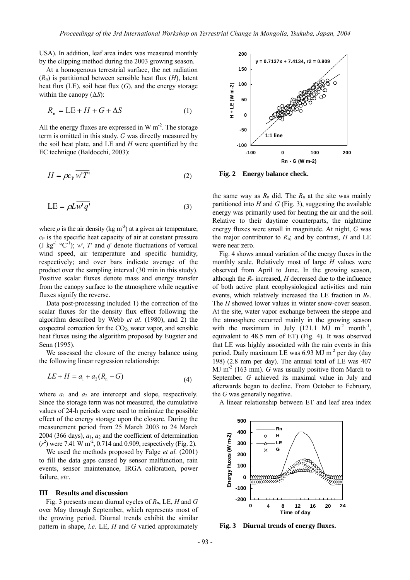USA). In addition, leaf area index was measured monthly by the clipping method during the 2003 growing season.

At a homogenous terrestrial surface, the net radiation (*R*n) is partitioned between sensible heat flux (*H*), latent heat flux (LE), soil heat flux (*G*), and the energy storage within the canopy (∆*S*):

$$
R_n = LE + H + G + \Delta S \tag{1}
$$

All the energy fluxes are expressed in W  $m<sup>2</sup>$ . The storage term is omitted in this study. *G* was directly measured by the soil heat plate, and LE and *H* were quantified by the EC technique (Baldocchi, 2003):

$$
H = \rho c_{\rm p} \overline{w'T'}
$$
 (2)

$$
LE = \rho L \overline{w'q'} \tag{3}
$$

where  $\rho$  is the air density (kg m<sup>-3</sup>) at a given air temperature;  $c<sub>P</sub>$  is the specific heat capacity of air at constant pressure (J kg<sup>-1</sup>  $\degree$ C<sup>-1</sup>); *w'*, *T*' and *q'* denote fluctuations of vertical wind speed, air temperature and specific humidity, respectively; and over bars indicate average of the product over the sampling interval (30 min in this study). Positive scalar fluxes denote mass and energy transfer from the canopy surface to the atmosphere while negative fluxes signify the reverse.

Data post-processing included 1) the correction of the scalar fluxes for the density flux effect following the algorithm described by Webb *et al*. (1980), and 2) the cospectral correction for the CO2, water vapor, and sensible heat fluxes using the algorithm proposed by Eugster and Senn (1995).

We assessed the closure of the energy balance using the following linear regression relationship:

$$
LE + H = a_1 + a_2(R_n - G)
$$
 (4)

where  $a_1$  and  $a_2$  are intercept and slope, respectively. Since the storage term was not measured, the cumulative values of 24-h periods were used to minimize the possible effect of the energy storage upon the closure. During the measurement period from 25 March 2003 to 24 March 2004 (366 days),  $a_1$ ,  $a_2$  and the coefficient of determination  $(r^2)$  were 7.41 W m<sup>-2</sup>, 0.714 and 0.909, respectively (Fig. 2).

We used the methods proposed by Falge *et al.* (2001) to fill the data gaps caused by sensor malfunction, rain events, sensor maintenance, IRGA calibration, power failure, *etc*.

### **III Results and discussion**

 Fig. 3 presents mean diurnal cycles of *R*n, LE, *H* and *G* over May through September, which represents most of the growing period. Diurnal trends exhibit the similar pattern in shape, *i.e.* LE, *H* and *G* varied approximately



**Fig. 2 Energy balance check.** 

the same way as  $R_n$  did. The  $R_n$  at the site was mainly partitioned into *H* and *G* (Fig. 3), suggesting the available energy was primarily used for heating the air and the soil. Relative to their daytime counterparts, the nighttime energy fluxes were small in magnitude. At night, *G* was the major contributor to  $R_n$ ; and by contrast, *H* and LE were near zero.

Fig. 4 shows annual variation of the energy fluxes in the monthly scale. Relatively most of large *H* values were observed from April to June. In the growing season, although the *R*n increased, *H* decreased due to the influence of both active plant ecophysiological activities and rain events, which relatively increased the LE fraction in *R*n. The *H* showed lower values in winter snow-cover season. At the site, water vapor exchange between the steppe and the atmosphere occurred mainly in the growing season with the maximum in July  $(121.1 \text{ MJ m}^{-2} \text{ month}^{-1})$ equivalent to 48.5 mm of ET) (Fig. 4). It was observed that LE was highly associated with the rain events in this period. Daily maximum LE was 6.93 MJ m<sup>-2</sup> per day (day 198) (2.8 mm per day). The annual total of LE was 407 MJ m<sup>-2</sup> (163 mm). *G* was usually positive from March to September. *G* achieved its maximal value in July and afterwards began to decline. From October to February, the *G* was generally negative.

A linear relationship between ET and leaf area index



**Fig. 3 Diurnal trends of energy fluxes.**